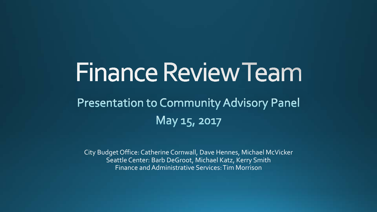# Finance Review Team

#### **Presentation to Community Advisory Panel** May 15, 2017

City Budget Office: Catherine Cornwall, Dave Hennes, Michael McVicker Seattle Center: Barb DeGroot, Michael Katz, Kerry Smith Finance and Administrative Services: Tim Morrison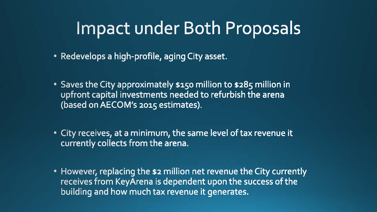#### **Impact under Both Proposals**

- Redevelops a high-profile, aging City asset.
- Saves the City approximately \$150 million to \$285 million in upfront capital investments needed to refurbish the arena (based on AECOM's 2015 estimates).
- City receives, at a minimum, the same level of tax revenue it currently collects from the arena.
- However, replacing the \$2 million net revenue the City currently receives from KeyArena is dependent upon the success of the building and how much tax revenue it generates.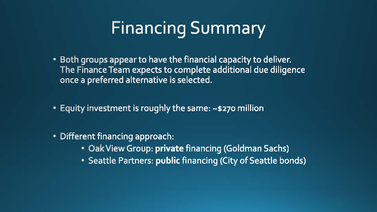#### **Financing Summary**

- Both groups appear to have the financial capacity to deliver. The Finance Team expects to complete additional due diligence once a preferred alternative is selected.
- Equity investment is roughly the same: ~\$270 million
- · Different financing approach:
	- Oak View Group: private financing (Goldman Sachs)
	- Seattle Partners: public financing (City of Seattle bonds)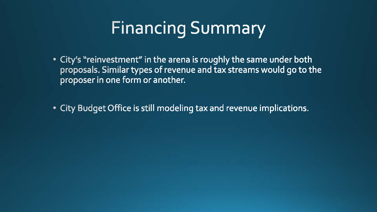#### **Financing Summary**

• City's "reinvestment" in the arena is roughly the same under both proposals. Similar types of revenue and tax streams would go to the proposer in one form or another.

• City Budget Office is still modeling tax and revenue implications.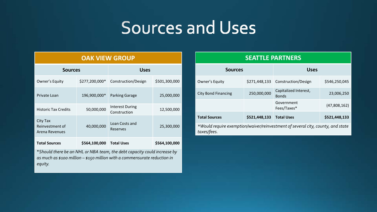#### Sources and Uses

| <b>OAK VIEW GROUP</b>                                |                |                                        |               |  |  |  |  |
|------------------------------------------------------|----------------|----------------------------------------|---------------|--|--|--|--|
| <b>Sources</b>                                       |                | <b>Uses</b>                            |               |  |  |  |  |
| Owner's Equity                                       | \$277,200,000* | Construction/Design                    | \$501,300,000 |  |  |  |  |
| Private Loan                                         | 196,900,000*   | <b>Parking Garage</b>                  | 25,000,000    |  |  |  |  |
| <b>Historic Tax Credits</b>                          | 50,000,000     | <b>Interest During</b><br>Construction | 12,500,000    |  |  |  |  |
| City Tax<br>Reinvestment of<br><b>Arena Revenues</b> | 40,000,000     | Loan Costs and<br>Reserves             | 25,300,000    |  |  |  |  |
| <b>Total Sources</b>                                 | \$564,100,000  | <b>Total Uses</b>                      | \$564,100,000 |  |  |  |  |

\**Should there be an NHL or NBA team, the debt capacity could increase by as much as \$100 million – \$150 million with a commensurate reduction in equity.*

| <b>SEATTLE PARTNERS</b>                                                                        |               |                                       |               |  |  |  |  |
|------------------------------------------------------------------------------------------------|---------------|---------------------------------------|---------------|--|--|--|--|
| <b>Sources</b>                                                                                 |               | <b>Uses</b>                           |               |  |  |  |  |
| Owner's Equity                                                                                 |               | \$271,448,133 Construction/Design     | \$546,250,045 |  |  |  |  |
| <b>City Bond Financing</b>                                                                     | 250,000,000   | Capitalized Interest,<br><b>Bonds</b> | 23,006,250    |  |  |  |  |
|                                                                                                |               | Government<br>Fees/Taxes*             | (47,808,162)  |  |  |  |  |
| <b>Total Sources</b>                                                                           | \$521,448,133 | <b>Total Uses</b>                     | \$521,448,133 |  |  |  |  |
| *Would require exemption/waiver/reinvestment of several city, county, and state<br>taxes/fees. |               |                                       |               |  |  |  |  |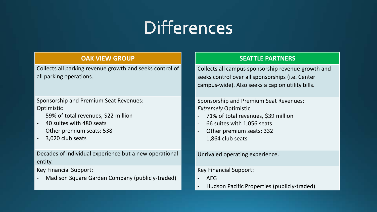### **Differences**

#### **OAK VIEW GROUP**

Collects all parking revenue growth and seeks control of all parking operations.

Sponsorship and Premium Seat Revenues: **Optimistic** 

- 59% of total revenues, \$22 million
- 40 suites with 480 seats
- Other premium seats: 538
- 3,020 club seats

Decades of individual experience but a new operational entity.

Key Financial Support:

Madison Square Garden Company (publicly-traded)

#### **SEATTLE PARTNERS**

Collects all campus sponsorship revenue growth and seeks control over all sponsorships (i.e. Center campus-wide). Also seeks a cap on utility bills.

Sponsorship and Premium Seat Revenues: *Extremely* Optimistic

- 71% of total revenues, \$39 million
- 66 suites with 1,056 seats
- Other premium seats: 332
- 1,864 club seats

Unrivaled operating experience.

Key Financial Support:

- AEG
- Hudson Pacific Properties (publicly-traded)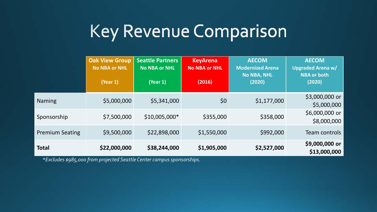#### Key Revenue Comparison

|                        | <b>Oak View Group</b><br><b>No NBA or NHL</b><br>(Year 1) | <b>Seattle Partners</b><br><b>No NBA or NHL</b><br>(Year 1) | <b>KeyArena</b><br><b>No NBA or NHL</b><br>(2016) | <b>AECOM</b><br><b>Modernized Arena</b><br><b>No NBA, NHL</b><br>(2020) | <b>AECOM</b><br><b>Upgraded Arena w/</b><br><b>NBA or both</b><br>(2020) |
|------------------------|-----------------------------------------------------------|-------------------------------------------------------------|---------------------------------------------------|-------------------------------------------------------------------------|--------------------------------------------------------------------------|
| <b>Naming</b>          | \$5,000,000                                               | \$5,341,000                                                 | \$0                                               | \$1,177,000                                                             | \$3,000,000 or<br>\$5,000,000                                            |
| Sponsorship            | \$7,500,000                                               | $$10,005,000*$                                              | \$355,000                                         | \$358,000                                                               | \$6,000,000 or<br>\$8,000,000                                            |
| <b>Premium Seating</b> | \$9,500,000                                               | \$22,898,000                                                | \$1,550,000                                       | \$992,000                                                               | Team controls                                                            |
| <b>Total</b>           | \$22,000,000                                              | \$38,244,000                                                | \$1,905,000                                       | \$2,527,000                                                             | \$9,000,000 or<br>\$13,000,000                                           |

*\*Excludes \$985,000 from projected Seattle Center campus sponsorships.*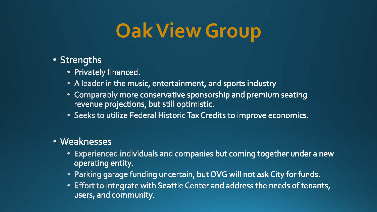## **Oak View Group**

- Strengths
	- Privately financed.
	- A leader in the music, entertainment, and sports industry
	- Comparably more conservative sponsorship and premium seating revenue projections, but still optimistic.
	- Seeks to utilize Federal Historic Tax Credits to improve economics.
- Weaknesses
	- Experienced individuals and companies but coming together under a new operating entity.
	- Parking garage funding uncertain, but OVG will not ask City for funds.
	- Effort to integrate with Seattle Center and address the needs of tenants, users, and community.